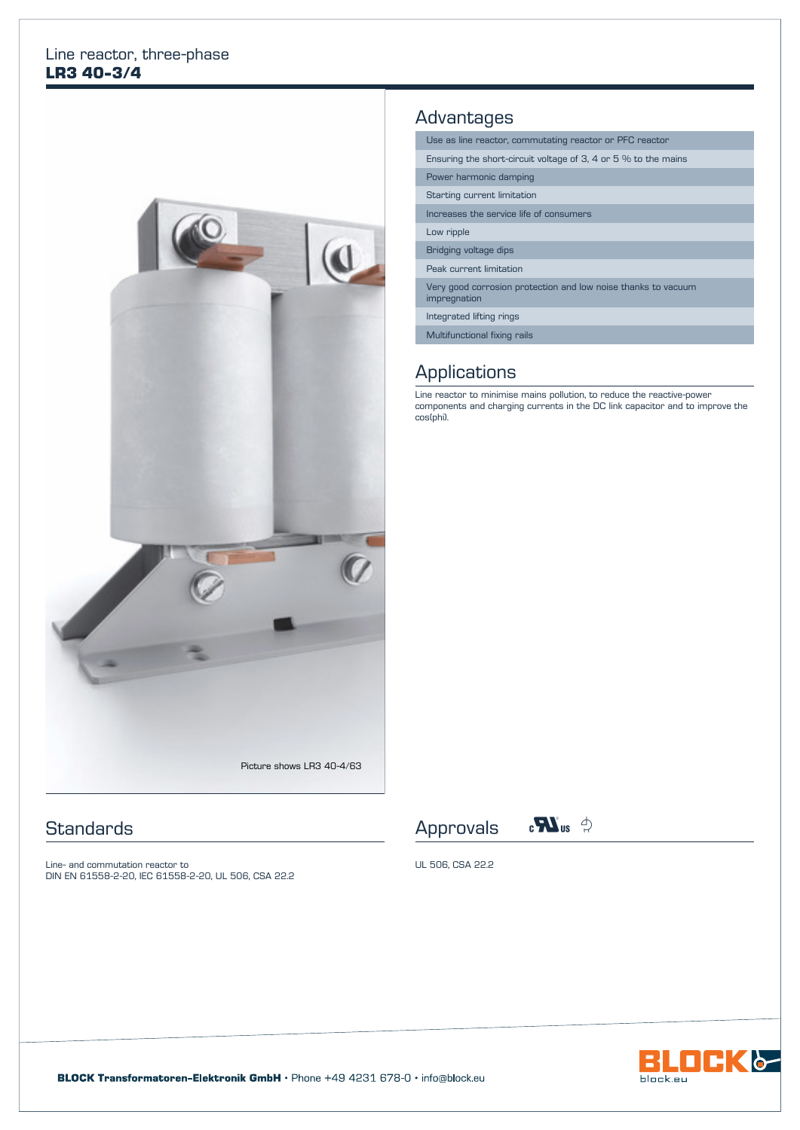#### Line reactor, three-phase **LR3 40-3/4**



#### **Standards**

Line- and commutation reactor to DIN EN 61558-2-20, IEC 61558-2-20, UL 506, CSA 22.2

## **Advantages**

Use as line reactor, commutating reactor or PFC reactor

Ensuring the short-circuit voltage of 3, 4 or 5 % to the mains

Power harmonic damping

Starting current limitation

Increases the service life of consumers

Low ripple

Bridging voltage dips

Peak current limitation

Very good corrosion protection and low noise thanks to vacuum impregnation

Integrated lifting rings

Multifunctional fixing rails

## **Applications**

Line reactor to minimise mains pollution, to reduce the reactive-power components and charging currents in the DC link capacitor and to improve the cos(phi).





UL 506, CSA 22.2